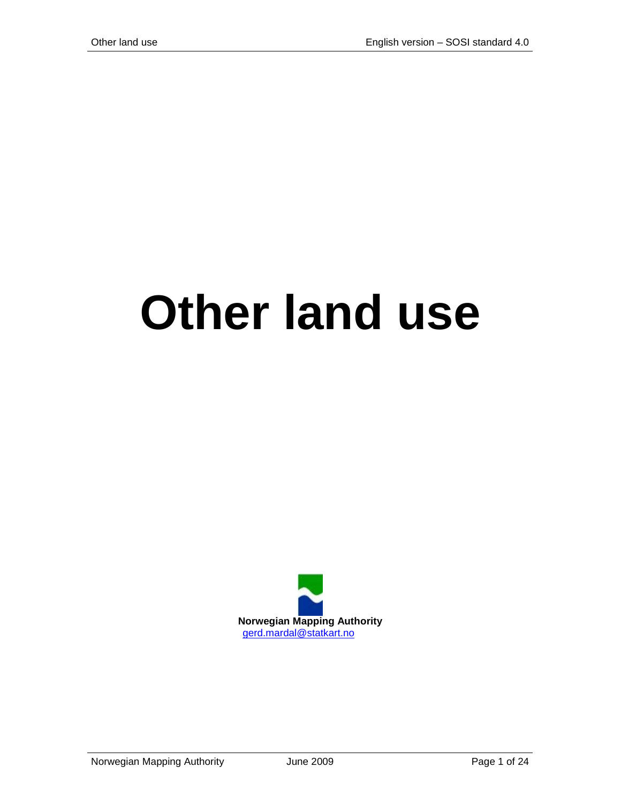# **Other land use**

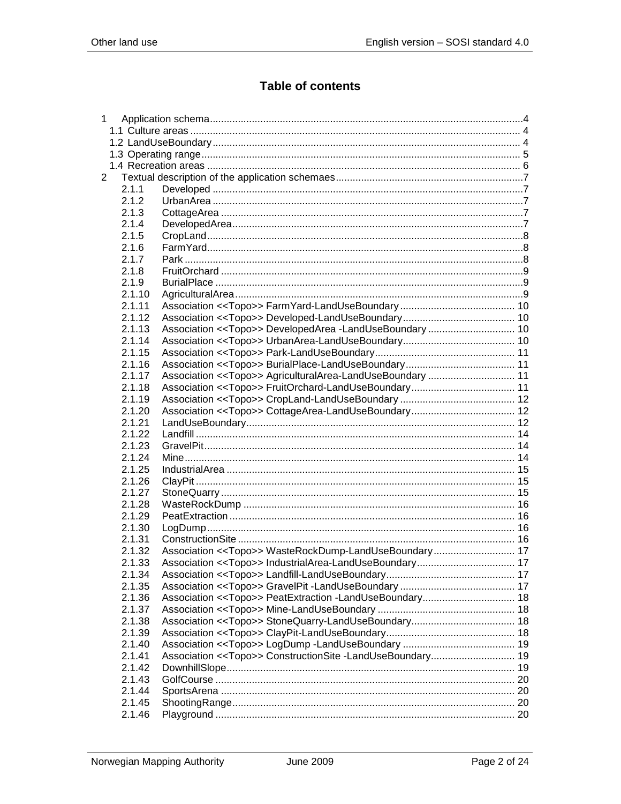# **Table of contents**

| $\mathbf{1}$ |        |                                                                      |  |
|--------------|--------|----------------------------------------------------------------------|--|
|              |        |                                                                      |  |
|              |        |                                                                      |  |
|              |        |                                                                      |  |
|              |        |                                                                      |  |
| 2            |        |                                                                      |  |
|              | 2.1.1  |                                                                      |  |
|              | 2.1.2  |                                                                      |  |
|              | 2.1.3  |                                                                      |  |
|              | 2.1.4  |                                                                      |  |
|              | 2.1.5  |                                                                      |  |
|              | 2.1.6  |                                                                      |  |
|              | 2.1.7  |                                                                      |  |
|              | 2.1.8  |                                                                      |  |
|              | 2.1.9  |                                                                      |  |
|              | 2.1.10 |                                                                      |  |
|              | 2.1.11 |                                                                      |  |
|              | 2.1.12 |                                                                      |  |
|              | 2.1.13 | Association < <topo>&gt; DevelopedArea -LandUseBoundary  10</topo>   |  |
|              | 2.1.14 |                                                                      |  |
|              | 2.1.15 |                                                                      |  |
|              | 2.1.16 |                                                                      |  |
|              | 2.1.17 | Association << Topo>> AgriculturalArea-LandUseBoundary  11           |  |
|              | 2.1.18 |                                                                      |  |
|              | 2.1.19 |                                                                      |  |
|              | 2.1.20 |                                                                      |  |
|              | 2.1.21 |                                                                      |  |
|              | 2.1.22 |                                                                      |  |
|              | 2.1.23 |                                                                      |  |
|              | 2.1.24 |                                                                      |  |
|              | 2.1.25 |                                                                      |  |
|              | 2.1.26 |                                                                      |  |
|              | 2.1.27 |                                                                      |  |
|              | 2.1.28 |                                                                      |  |
|              | 2.1.29 |                                                                      |  |
|              | 2.1.30 |                                                                      |  |
|              | 2.1.31 |                                                                      |  |
|              | 2.1.32 | Association << Topo>> WasteRockDump-LandUseBoundary 17               |  |
|              | 2.1.33 |                                                                      |  |
|              | 2.1.34 |                                                                      |  |
|              | 2.1.35 |                                                                      |  |
|              | 2.1.36 |                                                                      |  |
|              | 2.1.37 |                                                                      |  |
|              | 2.1.38 |                                                                      |  |
|              | 2.1.39 |                                                                      |  |
|              | 2.1.40 |                                                                      |  |
|              | 2.1.41 | Association < <topo>&gt; ConstructionSite -LandUseBoundary 19</topo> |  |
|              | 2.1.42 |                                                                      |  |
|              | 2.1.43 |                                                                      |  |
|              | 2.1.44 |                                                                      |  |
|              | 2.1.45 |                                                                      |  |
|              | 2.1.46 |                                                                      |  |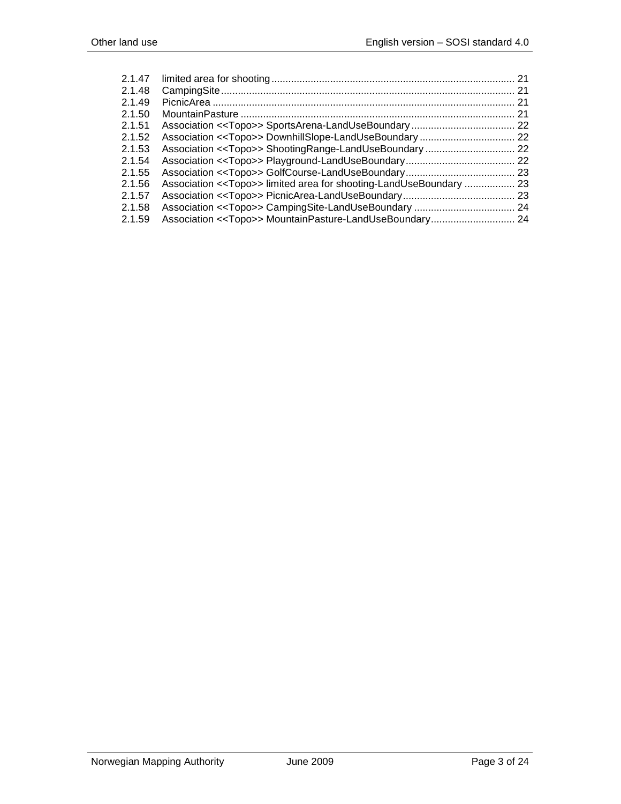| 2.1.47 |                                                                               |     |
|--------|-------------------------------------------------------------------------------|-----|
| 2.1.48 |                                                                               |     |
| 2.1.49 |                                                                               |     |
| 2.1.50 |                                                                               | -21 |
| 2.1.51 |                                                                               |     |
| 2.1.52 |                                                                               |     |
| 2.1.53 |                                                                               |     |
| 2.1.54 |                                                                               |     |
| 2.1.55 |                                                                               |     |
| 2.1.56 | Association < <topo>&gt; limited area for shooting-LandUseBoundary  23</topo> |     |
| 2.1.57 |                                                                               |     |
| 2.1.58 |                                                                               |     |
| 2.1.59 |                                                                               |     |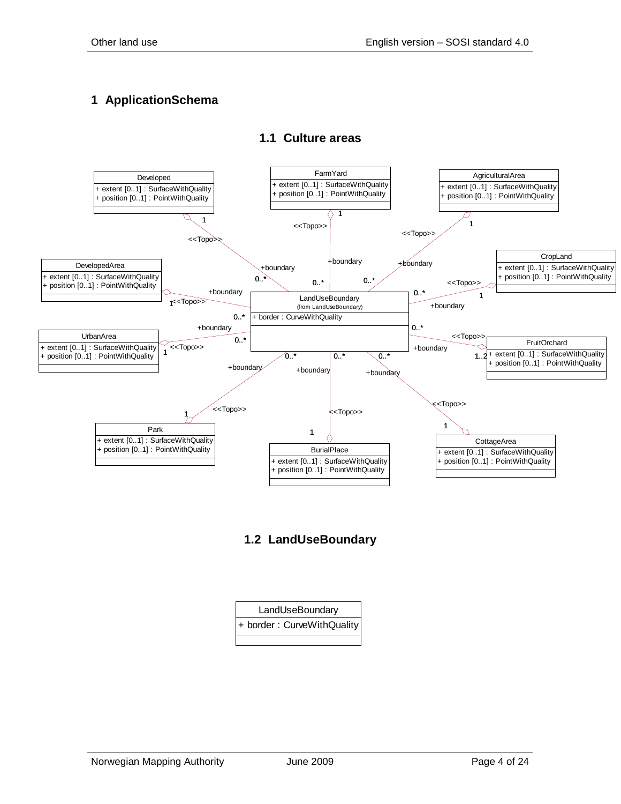# <span id="page-3-1"></span><span id="page-3-0"></span>**1 ApplicationSchema**



## **1.1 Culture areas**

<span id="page-3-2"></span>**1.2 LandUseBoundary**

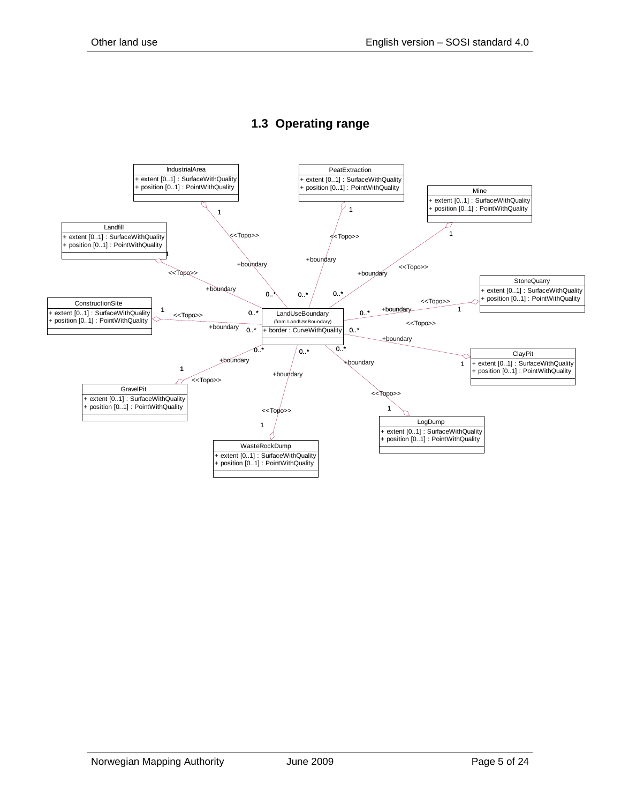<span id="page-4-0"></span>

# **1.3 Operating range**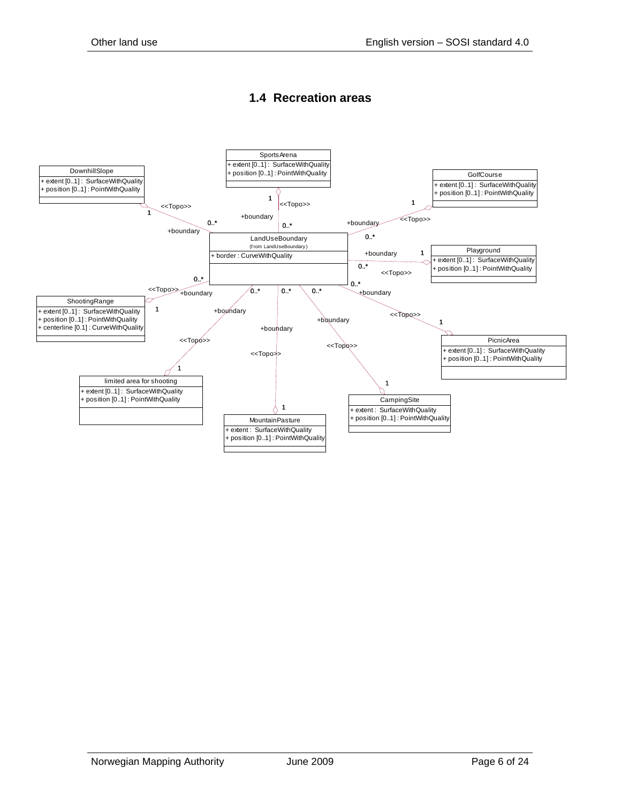## **1.4 Recreation areas**

<span id="page-5-0"></span>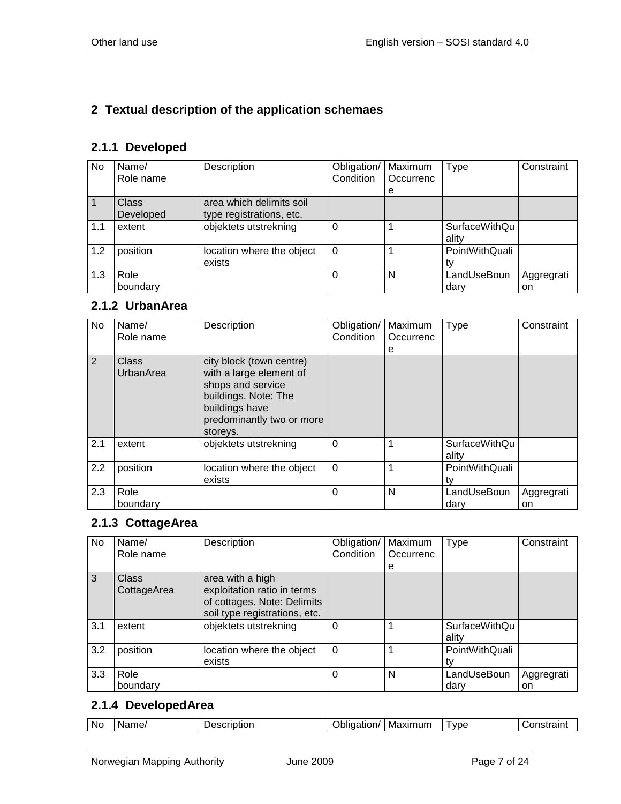# <span id="page-6-0"></span>**2 Textual description of the application schemaes**

# <span id="page-6-1"></span>**2.1.1 Developed**

| No             | Name/     | Description               | Obligation/ | Maximum   | Type                 | Constraint |
|----------------|-----------|---------------------------|-------------|-----------|----------------------|------------|
|                | Role name |                           | Condition   | Occurrenc |                      |            |
|                |           |                           |             | е         |                      |            |
| $\overline{1}$ | Class     | area which delimits soil  |             |           |                      |            |
|                | Developed | type registrations, etc.  |             |           |                      |            |
| 1.1            | extent    | objektets utstrekning     | O           |           | <b>SurfaceWithQu</b> |            |
|                |           |                           |             |           | ality                |            |
| 1.2            | position  | location where the object | $\Omega$    |           | PointWithQuali       |            |
|                |           | exists                    |             |           |                      |            |
| 1.3            | Role      |                           |             | N         | LandUseBoun          | Aggregrati |
|                | boundary  |                           |             |           | dary                 | on         |

#### <span id="page-6-2"></span>**2.1.2 UrbanArea**

| No  | Name/<br>Role name | Description                                                                                                                                                 | Obligation/<br>Condition | Maximum<br>Occurrenc<br>е | <b>Type</b>                   | Constraint       |
|-----|--------------------|-------------------------------------------------------------------------------------------------------------------------------------------------------------|--------------------------|---------------------------|-------------------------------|------------------|
| 2   | Class<br>UrbanArea | city block (town centre)<br>with a large element of<br>shops and service<br>buildings. Note: The<br>buildings have<br>predominantly two or more<br>storeys. |                          |                           |                               |                  |
| 2.1 | extent             | objektets utstrekning                                                                                                                                       | 0                        |                           | <b>SurfaceWithQu</b><br>ality |                  |
| 2.2 | position           | location where the object<br>exists                                                                                                                         | $\Omega$                 |                           | PointWithQuali                |                  |
| 2.3 | Role<br>boundary   |                                                                                                                                                             | 0                        | N                         | LandUseBoun<br>dary           | Aggregrati<br>on |

## <span id="page-6-3"></span>**2.1.3 CottageArea**

| No  | Name/                       | Description                                                                                                     | Obligation/ | Maximum   | <b>Type</b>                   | Constraint       |
|-----|-----------------------------|-----------------------------------------------------------------------------------------------------------------|-------------|-----------|-------------------------------|------------------|
|     | Role name                   |                                                                                                                 | Condition   | Occurrenc |                               |                  |
| 3   | <b>Class</b><br>CottageArea | area with a high<br>exploitation ratio in terms<br>of cottages. Note: Delimits<br>soil type registrations, etc. |             | е         |                               |                  |
| 3.1 | extent                      | objektets utstrekning                                                                                           | 0           |           | <b>SurfaceWithQu</b><br>ality |                  |
| 3.2 | position                    | location where the object<br>exists                                                                             | $\Omega$    |           | PointWithQuali                |                  |
| 3.3 | Role<br>boundary            |                                                                                                                 | 0           | N         | LandUseBoun<br>dary           | Aggregrati<br>on |

## <span id="page-6-4"></span>**2.1.4 DevelopedArea**

| Nc. | ame<br>w | -----<br>.<br>ושווי. | .<br>.<br>IVIE | VDE |  |
|-----|----------|----------------------|----------------|-----|--|
|-----|----------|----------------------|----------------|-----|--|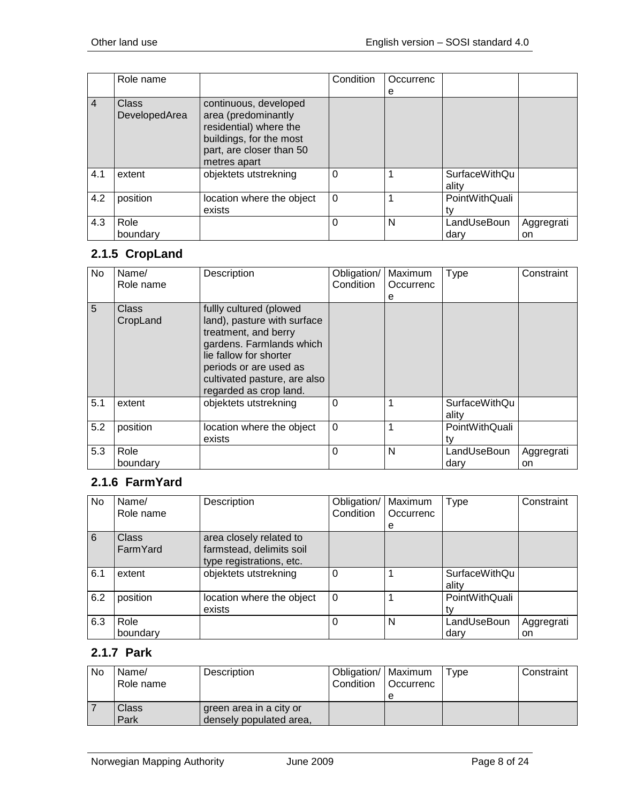|                | Role name                     |                                                                                                                                               | Condition | Occurrenc |                               |                  |
|----------------|-------------------------------|-----------------------------------------------------------------------------------------------------------------------------------------------|-----------|-----------|-------------------------------|------------------|
|                |                               |                                                                                                                                               |           | е         |                               |                  |
| $\overline{4}$ | <b>Class</b><br>DevelopedArea | continuous, developed<br>area (predominantly<br>residential) where the<br>buildings, for the most<br>part, are closer than 50<br>metres apart |           |           |                               |                  |
| 4.1            | extent                        | objektets utstrekning                                                                                                                         | 0         |           | <b>SurfaceWithQu</b><br>ality |                  |
| 4.2            | position                      | location where the object<br>exists                                                                                                           | $\Omega$  |           | PointWithQuali                |                  |
| 4.3            | Role<br>boundary              |                                                                                                                                               | 0         | N         | LandUseBoun<br>dary           | Aggregrati<br>on |

# <span id="page-7-0"></span>**2.1.5 CropLand**

| No  | Name/<br>Role name | Description                                                                                                                                                                                                              | Obligation/<br>Condition | Maximum<br>Occurrenc<br>е | <b>Type</b>                   | Constraint       |
|-----|--------------------|--------------------------------------------------------------------------------------------------------------------------------------------------------------------------------------------------------------------------|--------------------------|---------------------------|-------------------------------|------------------|
| 5   | Class<br>CropLand  | fullly cultured (plowed<br>land), pasture with surface<br>treatment, and berry<br>gardens. Farmlands which<br>lie fallow for shorter<br>periods or are used as<br>cultivated pasture, are also<br>regarded as crop land. |                          |                           |                               |                  |
| 5.1 | extent             | objektets utstrekning                                                                                                                                                                                                    | 0                        |                           | <b>SurfaceWithQu</b><br>ality |                  |
| 5.2 | position           | location where the object<br>exists                                                                                                                                                                                      | $\Omega$                 |                           | PointWithQuali<br>tv          |                  |
| 5.3 | Role<br>boundary   |                                                                                                                                                                                                                          | 0                        | N                         | LandUseBoun<br>dary           | Aggregrati<br>on |

# <span id="page-7-1"></span>**2.1.6 FarmYard**

| No  | Name/        | Description               | Obligation/ | Maximum   | Type           | Constraint |
|-----|--------------|---------------------------|-------------|-----------|----------------|------------|
|     | Role name    |                           | Condition   | Occurrenc |                |            |
|     |              |                           |             | e         |                |            |
| 6   | <b>Class</b> | area closely related to   |             |           |                |            |
|     | FarmYard     | farmstead, delimits soil  |             |           |                |            |
|     |              | type registrations, etc.  |             |           |                |            |
| 6.1 | extent       | objektets utstrekning     | 0           |           | SurfaceWithQu  |            |
|     |              |                           |             |           | ality          |            |
| 6.2 | position     | location where the object | $\Omega$    |           | PointWithQuali |            |
|     |              | exists                    |             |           |                |            |
| 6.3 | Role         |                           | 0           | N         | LandUseBoun    | Aggregrati |
|     | boundary     |                           |             |           | darv           | on         |

## <span id="page-7-2"></span>**2.1.7 Park**

| No | Name/<br>Role name | Description                                        | Obligation/   Maximum<br>Condition | l Occurrenc<br>е | Type | Constraint |
|----|--------------------|----------------------------------------------------|------------------------------------|------------------|------|------------|
|    | Class<br>Park      | green area in a city or<br>densely populated area, |                                    |                  |      |            |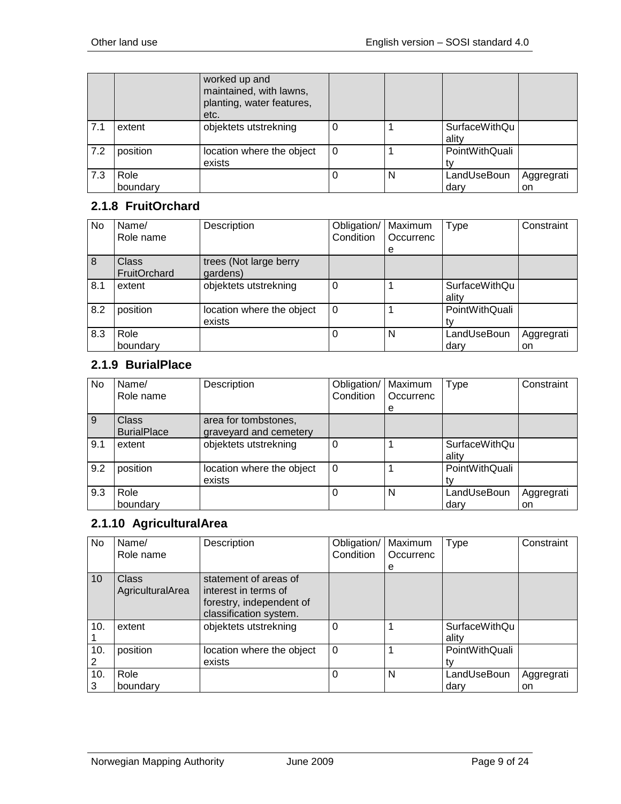|     |          | worked up and<br>maintained, with lawns,<br>planting, water features,<br>etc. |          |   |                               |            |
|-----|----------|-------------------------------------------------------------------------------|----------|---|-------------------------------|------------|
| 7.1 | extent   | objektets utstrekning                                                         |          |   | <b>SurfaceWithQu</b><br>ality |            |
| 7.2 | position | location where the object<br>exists                                           | $\Omega$ |   | PointWithQuali<br>tv          |            |
| 7.3 | Role     |                                                                               |          | N | LandUseBoun                   | Aggregrati |
|     | boundary |                                                                               |          |   | darv                          | <b>on</b>  |

## <span id="page-8-0"></span>**2.1.8 FruitOrchard**

| No             | Name/<br>Role name    | Description                         | Obligation/<br>Condition | Maximum<br>Occurrenc<br>е | <b>Type</b>                   | Constraint       |
|----------------|-----------------------|-------------------------------------|--------------------------|---------------------------|-------------------------------|------------------|
| $\overline{8}$ | Class<br>FruitOrchard | trees (Not large berry<br>gardens)  |                          |                           |                               |                  |
| 8.1            | extent                | objektets utstrekning               | 0                        |                           | <b>SurfaceWithQu</b><br>ality |                  |
| 8.2            | position              | location where the object<br>exists | $\Omega$                 |                           | PointWithQuali                |                  |
| 8.3            | Role<br>boundary      |                                     | 0                        | N                         | LandUseBoun<br>dary           | Aggregrati<br>on |

## <span id="page-8-1"></span>**2.1.9 BurialPlace**

| <b>No</b> | Name/<br>Role name          | Description                                    | Obligation/<br>Condition | Maximum<br>Occurrenc<br>е | <b>Type</b>                   | Constraint       |
|-----------|-----------------------------|------------------------------------------------|--------------------------|---------------------------|-------------------------------|------------------|
| 9         | Class<br><b>BurialPlace</b> | area for tombstones,<br>graveyard and cemetery |                          |                           |                               |                  |
| 9.1       | extent                      | objektets utstrekning                          |                          |                           | <b>SurfaceWithQu</b><br>ality |                  |
| 9.2       | position                    | location where the object<br>exists            | $\Omega$                 |                           | PointWithQuali                |                  |
| 9.3       | Role<br>boundary            |                                                |                          | N                         | LandUseBoun<br>dary           | Aggregrati<br>on |

# <span id="page-8-2"></span>**2.1.10 AgriculturalArea**

| <b>No</b> | Name/<br>Role name               | Description                                                                                         | Obligation/<br>Condition | Maximum<br>Occurrenc | Type                          | Constraint |
|-----------|----------------------------------|-----------------------------------------------------------------------------------------------------|--------------------------|----------------------|-------------------------------|------------|
|           |                                  |                                                                                                     |                          | е                    |                               |            |
| 10        | <b>Class</b><br>AgriculturalArea | statement of areas of<br>interest in terms of<br>forestry, independent of<br>classification system. |                          |                      |                               |            |
| 10.       | extent                           | objektets utstrekning                                                                               | 0                        |                      | <b>SurfaceWithQu</b><br>ality |            |
| 10.       | position                         | location where the object                                                                           | $\Omega$                 |                      | PointWithQuali                |            |
|           |                                  | exists                                                                                              |                          |                      |                               |            |
| 10.       | Role                             |                                                                                                     | 0                        | N                    | LandUseBoun                   | Aggregrati |
| 3         | boundary                         |                                                                                                     |                          |                      | dary                          | on         |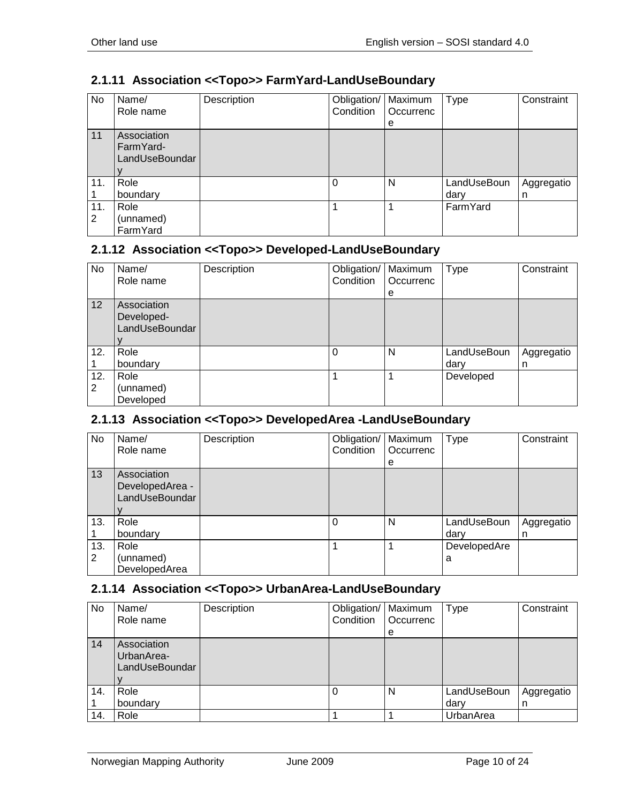# <span id="page-9-0"></span>**2.1.11 Association <<Topo>> FarmYard-LandUseBoundary**

| No  | Name/<br>Role name | Description | Obligation/   Maximum<br>Condition | Occurrenc | <b>Type</b> | Constraint |
|-----|--------------------|-------------|------------------------------------|-----------|-------------|------------|
|     |                    |             |                                    | e         |             |            |
| 11  | Association        |             |                                    |           |             |            |
|     | FarmYard-          |             |                                    |           |             |            |
|     | LandUseBoundar     |             |                                    |           |             |            |
|     |                    |             |                                    |           |             |            |
| 11. | Role               |             | $\Omega$                           | N         | LandUseBoun | Aggregatio |
|     | boundary           |             |                                    |           | dary        | n          |
| 11. | Role               |             |                                    |           | FarmYard    |            |
| 2   | (unnamed)          |             |                                    |           |             |            |
|     | FarmYard           |             |                                    |           |             |            |

#### <span id="page-9-1"></span>**2.1.12 Association <<Topo>> Developed-LandUseBoundary**

| No       | Name/<br>Role name                          | Description | Obligation/<br>Condition | Maximum<br>Occurrenc<br>e | <b>Type</b>         | Constraint      |
|----------|---------------------------------------------|-------------|--------------------------|---------------------------|---------------------|-----------------|
| 12       | Association<br>Developed-<br>LandUseBoundar |             |                          |                           |                     |                 |
| 12.      | Role<br>boundary                            |             | 0                        | N                         | LandUseBoun<br>dary | Aggregatio<br>n |
| 12.<br>2 | Role<br>(unnamed)<br>Developed              |             |                          |                           | Developed           |                 |

# <span id="page-9-2"></span>**2.1.13 Association <<Topo>> DevelopedArea -LandUseBoundary**

| No       | Name/<br>Role name                               | Description | Obligation/<br>Condition | Maximum<br>Occurrenc<br>e | <b>Type</b>         | Constraint      |
|----------|--------------------------------------------------|-------------|--------------------------|---------------------------|---------------------|-----------------|
| 13       | Association<br>DevelopedArea -<br>LandUseBoundar |             |                          |                           |                     |                 |
| 13.      | Role<br>boundary                                 |             | 0                        | N                         | LandUseBoun<br>dary | Aggregatio<br>n |
| 13.<br>2 | Role<br>(unnamed)<br>DevelopedArea               |             |                          |                           | DevelopedAre<br>a   |                 |

## <span id="page-9-3"></span>**2.1.14 Association <<Topo>> UrbanArea-LandUseBoundary**

| No  | Name/<br>Role name                          | Description | Obligation/   Maximum<br>Condition | <b>Occurrenc</b><br>e | <b>Type</b> | Constraint |
|-----|---------------------------------------------|-------------|------------------------------------|-----------------------|-------------|------------|
| 14  | Association<br>UrbanArea-<br>LandUseBoundar |             |                                    |                       |             |            |
| 14. | Role                                        |             |                                    | N                     | LandUseBoun | Aggregatio |
|     | boundary                                    |             |                                    |                       | dary        | n          |
| 14. | Role                                        |             |                                    |                       | UrbanArea   |            |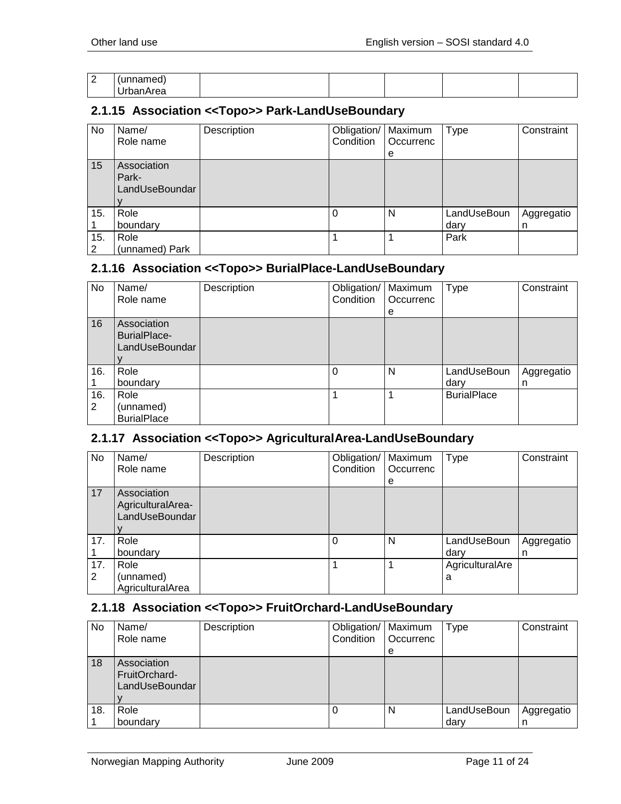| $\sim$<br><u>_</u> |                               |  |  |  |
|--------------------|-------------------------------|--|--|--|
|                    | $\overline{\phantom{a}}$<br>_ |  |  |  |

#### <span id="page-10-0"></span>**2.1.15 Association <<Topo>> Park-LandUseBoundary**

| No       | Name/<br>Role name                     | Description | Obligation/<br>Condition | Maximum<br>Occurrenc<br>e | <b>Type</b>         | Constraint      |
|----------|----------------------------------------|-------------|--------------------------|---------------------------|---------------------|-----------------|
| 15       | Association<br>Park-<br>LandUseBoundar |             |                          |                           |                     |                 |
| 15.      | Role<br>boundary                       |             | $\Omega$                 | N                         | LandUseBoun<br>dary | Aggregatio<br>n |
| 15.<br>2 | Role<br>(unnamed) Park                 |             |                          |                           | Park                |                 |

#### <span id="page-10-1"></span>**2.1.16 Association <<Topo>> BurialPlace-LandUseBoundary**

| No       | Name/<br>Role name                                   | Description | Obligation/<br>Condition | Maximum<br>Occurrenc | <b>Type</b>         | Constraint      |
|----------|------------------------------------------------------|-------------|--------------------------|----------------------|---------------------|-----------------|
| 16       | Association<br><b>BurialPlace-</b><br>LandUseBoundar |             |                          | е                    |                     |                 |
| 16.      | Role<br>boundary                                     |             | 0                        | N                    | LandUseBoun<br>dary | Aggregatio<br>n |
| 16.<br>2 | Role<br>(unnamed)<br><b>BurialPlace</b>              |             |                          |                      | <b>BurialPlace</b>  |                 |

#### <span id="page-10-2"></span>**2.1.17 Association <<Topo>> AgriculturalArea-LandUseBoundary**

| No.      | Name/<br>Role name                                 | Description | Obligation/<br>Condition | Maximum<br>Occurrenc<br>e | Type                 | Constraint      |
|----------|----------------------------------------------------|-------------|--------------------------|---------------------------|----------------------|-----------------|
| 17       | Association<br>AgriculturalArea-<br>LandUseBoundar |             |                          |                           |                      |                 |
| 17.      | Role<br>boundary                                   |             | 0                        | N                         | LandUseBoun<br>dary  | Aggregatio<br>n |
| 17.<br>2 | Role<br>(unnamed)<br>AgriculturalArea              |             |                          |                           | AgriculturalAre<br>а |                 |

#### <span id="page-10-3"></span>**2.1.18 Association <<Topo>> FruitOrchard-LandUseBoundary**

| No  | Name/<br>Role name                             | Description | Obligation/   Maximum<br>Condition | <b>Occurrenc</b><br>e | Type        | Constraint |
|-----|------------------------------------------------|-------------|------------------------------------|-----------------------|-------------|------------|
| 18  | Association<br>FruitOrchard-<br>LandUseBoundar |             |                                    |                       |             |            |
| 18. | Role                                           |             |                                    | N                     | LandUseBoun | Aggregatio |
|     | boundary                                       |             |                                    |                       | dary        | n          |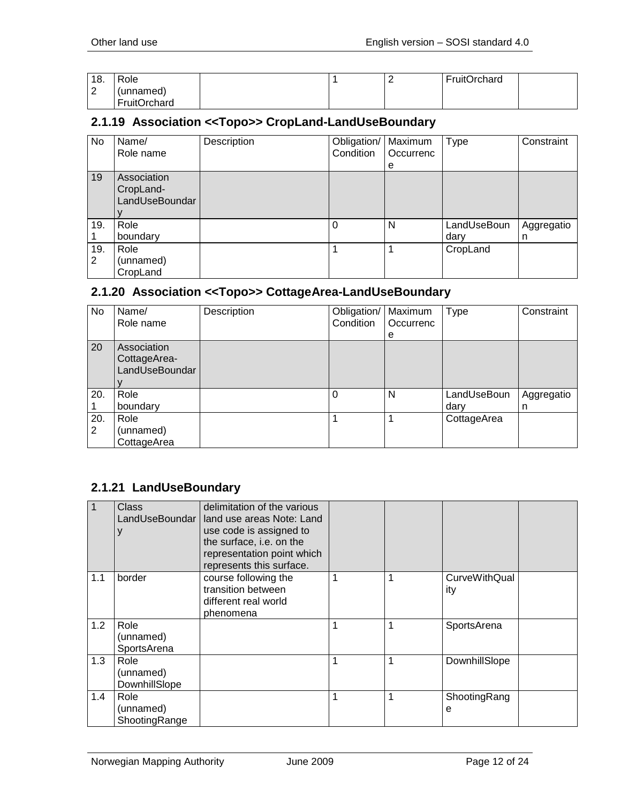| 18.         | Role         |  | FruitOrchard |  |
|-------------|--------------|--|--------------|--|
| $\sim$<br>∼ | (unnamed)    |  |              |  |
|             | FruitOrchard |  |              |  |

#### <span id="page-11-0"></span>**2.1.19 Association <<Topo>> CropLand-LandUseBoundary**

| No       | Name/<br>Role name                         | Description | Obligation/   Maximum<br>Condition | Occurrenc | <b>Type</b>         | Constraint      |
|----------|--------------------------------------------|-------------|------------------------------------|-----------|---------------------|-----------------|
| 19       | Association<br>CropLand-<br>LandUseBoundar |             |                                    | e         |                     |                 |
| 19.      | Role<br>boundary                           |             |                                    | N         | LandUseBoun<br>dary | Aggregatio<br>n |
| 19.<br>2 | Role<br>(unnamed)<br>CropLand              |             |                                    |           | CropLand            |                 |

## <span id="page-11-1"></span>**2.1.20 Association <<Topo>> CottageArea-LandUseBoundary**

| No.      | Name/<br>Role name                            | Description | Obligation/   Maximum<br>Condition | Occurrenc<br>e | <b>Type</b>         | Constraint      |
|----------|-----------------------------------------------|-------------|------------------------------------|----------------|---------------------|-----------------|
| 20       | Association<br>CottageArea-<br>LandUseBoundar |             |                                    |                |                     |                 |
| 20.      | Role<br>boundary                              |             | $\Omega$                           | N              | LandUseBoun<br>dary | Aggregatio<br>n |
| 20.<br>2 | Role<br>(unnamed)<br>CottageArea              |             |                                    |                | CottageArea         |                 |

# <span id="page-11-2"></span>**2.1.21 LandUseBoundary**

|     | Class                              | delimitation of the various<br>LandUseBoundar   land use areas Note: Land<br>use code is assigned to<br>the surface, i.e. on the<br>representation point which<br>represents this surface. |   |   |                      |  |
|-----|------------------------------------|--------------------------------------------------------------------------------------------------------------------------------------------------------------------------------------------|---|---|----------------------|--|
| 1.1 | border                             | course following the<br>transition between<br>different real world<br>phenomena                                                                                                            | 1 | 1 | CurveWithQual<br>ity |  |
| 1.2 | Role<br>(unnamed)<br>SportsArena   |                                                                                                                                                                                            | 1 | 1 | SportsArena          |  |
| 1.3 | Role<br>(unnamed)<br>DownhillSlope |                                                                                                                                                                                            | 1 | 1 | DownhillSlope        |  |
| 1.4 | Role<br>(unnamed)<br>ShootingRange |                                                                                                                                                                                            | 1 | 1 | ShootingRang<br>e    |  |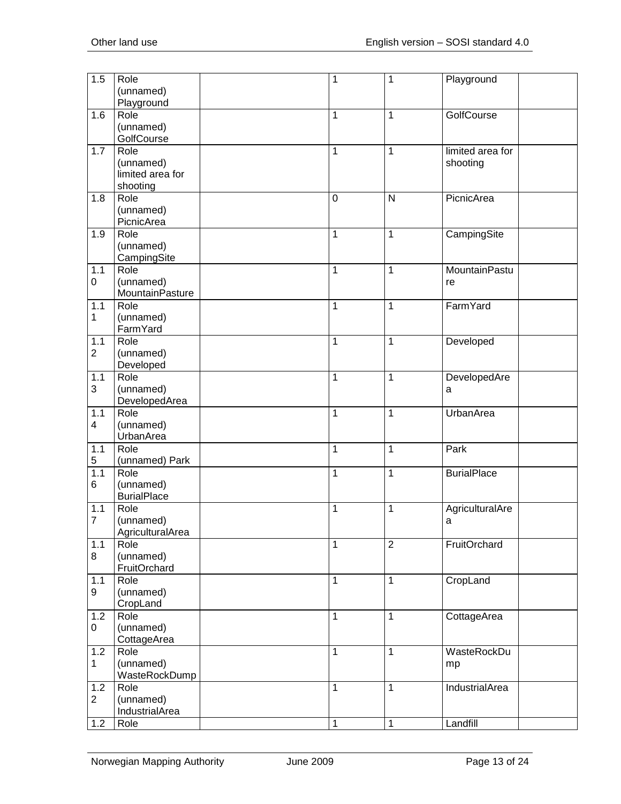| 1.5            | Role<br>(unnamed)  | 1            | $\mathbf{1}$   | Playground         |
|----------------|--------------------|--------------|----------------|--------------------|
|                | Playground         |              |                |                    |
| 1.6            | Role               | 1            | 1              | GolfCourse         |
|                | (unnamed)          |              |                |                    |
|                | GolfCourse         |              |                |                    |
| 1.7            | Role               | $\mathbf{1}$ | $\mathbf{1}$   | limited area for   |
|                | (unnamed)          |              |                | shooting           |
|                | limited area for   |              |                |                    |
|                | shooting           |              |                |                    |
| 1.8            | Role               | $\mathbf 0$  | $\mathsf{N}$   | PicnicArea         |
|                | (unnamed)          |              |                |                    |
|                | PicnicArea         |              |                |                    |
| 1.9            | Role               | 1            | $\mathbf{1}$   | CampingSite        |
|                | (unnamed)          |              |                |                    |
|                | CampingSite        |              |                |                    |
| 1.1            | Role               | $\mathbf{1}$ | $\mathbf{1}$   | MountainPastu      |
| 0              | (unnamed)          |              |                | re                 |
|                | MountainPasture    |              |                |                    |
| 1.1            | Role               | $\mathbf{1}$ | $\mathbf{1}$   | FarmYard           |
| 1              | (unnamed)          |              |                |                    |
|                | FarmYard           |              |                |                    |
| 1.1            | Role               | $\mathbf{1}$ | $\mathbf{1}$   | Developed          |
| $\overline{2}$ | (unnamed)          |              |                |                    |
|                | Developed          |              |                |                    |
| 1.1<br>3       | Role<br>(unnamed)  | $\mathbf{1}$ | $\mathbf{1}$   | DevelopedAre       |
|                | DevelopedArea      |              |                | a                  |
| 1.1            | Role               | $\mathbf{1}$ | $\mathbf{1}$   | UrbanArea          |
| 4              | (unnamed)          |              |                |                    |
|                | UrbanArea          |              |                |                    |
| 1.1            | Role               | $\mathbf{1}$ | $\mathbf{1}$   | Park               |
| 5              | (unnamed) Park     |              |                |                    |
| 1.1            | Role               | 1            | $\mathbf{1}$   | <b>BurialPlace</b> |
| 6              | (unnamed)          |              |                |                    |
|                | <b>BurialPlace</b> |              |                |                    |
| 1.1            | Role               | 1            | 1              | AgriculturalAre    |
| $\overline{7}$ | (unnamed)          |              |                | a                  |
|                | AgriculturalArea   |              |                |                    |
| 1.1            | Role               | $\mathbf{1}$ | $\overline{2}$ | FruitOrchard       |
| 8              | (unnamed)          |              |                |                    |
|                | FruitOrchard       |              |                |                    |
| 1.1            | Role               | $\mathbf{1}$ | $\mathbf{1}$   | CropLand           |
| 9              | (unnamed)          |              |                |                    |
|                | CropLand           |              |                |                    |
| 1.2            | Role               | $\mathbf{1}$ | $\mathbf{1}$   | CottageArea        |
| 0              | (unnamed)          |              |                |                    |
|                | CottageArea        |              |                |                    |
| 1.2            | Role               | $\mathbf{1}$ | $\mathbf{1}$   | WasteRockDu        |
| $\mathbf 1$    | (unnamed)          |              |                | mp                 |
|                | WasteRockDump      |              |                |                    |
| 1.2            | Role               | 1            | $\mathbf{1}$   | IndustrialArea     |
| $\overline{c}$ | (unnamed)          |              |                |                    |
|                | IndustrialArea     |              |                |                    |
| 1.2            | Role               | $\mathbf{1}$ | $\mathbf{1}$   | Landfill           |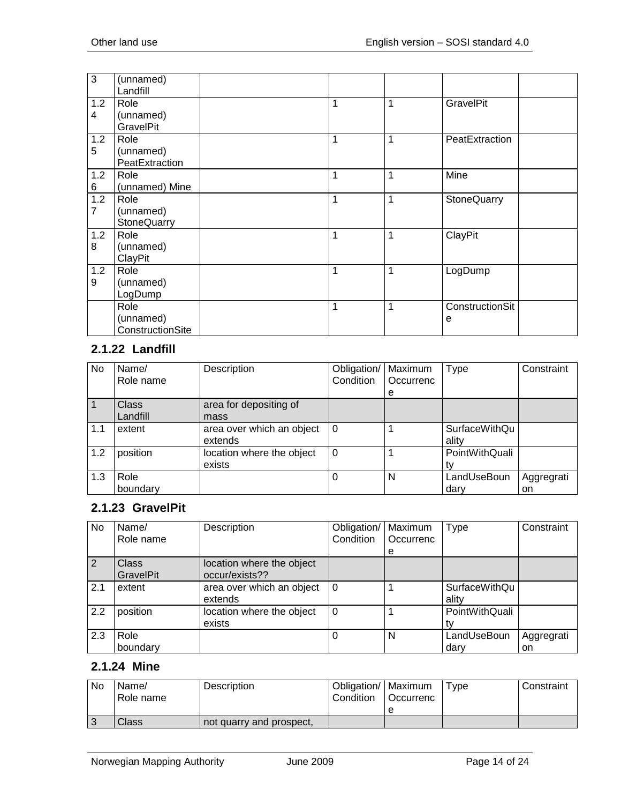| 3        | (unnamed)<br>Landfill                 |   |   |                      |
|----------|---------------------------------------|---|---|----------------------|
| 1.2<br>4 | Role<br>(unnamed)<br><b>GravelPit</b> | 1 | 1 | <b>GravelPit</b>     |
| 1.2<br>5 | Role<br>(unnamed)<br>PeatExtraction   | 1 | 1 | PeatExtraction       |
| 1.2<br>6 | Role<br>(unnamed) Mine                | 1 | 1 | Mine                 |
| 1.2<br>7 | Role<br>(unnamed)<br>StoneQuarry      | 1 | 1 | StoneQuarry          |
| 1.2<br>8 | Role<br>(unnamed)<br>ClayPit          | 1 | 1 | ClayPit              |
| 1.2<br>9 | Role<br>(unnamed)<br>LogDump          | 1 | 1 | LogDump              |
|          | Role<br>(unnamed)<br>ConstructionSite | 1 | 1 | ConstructionSit<br>е |

# <span id="page-13-0"></span>**2.1.22 Landfill**

| No  | Name/<br>Role name       | Description                          | Obligation/<br>Condition | Maximum<br>Occurrenc<br>е | <b>Type</b>                   | Constraint       |
|-----|--------------------------|--------------------------------------|--------------------------|---------------------------|-------------------------------|------------------|
|     | <b>Class</b><br>Landfill | area for depositing of<br>mass       |                          |                           |                               |                  |
| 1.1 | extent                   | area over which an object<br>extends | $\overline{0}$           |                           | <b>SurfaceWithQu</b><br>ality |                  |
| 1.2 | position                 | location where the object<br>exists  | $\Omega$                 |                           | PointWithQuali                |                  |
| 1.3 | Role<br>boundary         |                                      | $\Omega$                 | N                         | LandUseBoun<br>darv           | Aggregrati<br>on |

#### <span id="page-13-1"></span>**2.1.23 GravelPit**

| No  | Name/<br>Role name               | Description                                 | Obligation/<br>Condition | Maximum<br>Occurrenc<br>e | Type                          | Constraint       |
|-----|----------------------------------|---------------------------------------------|--------------------------|---------------------------|-------------------------------|------------------|
| 2   | <b>Class</b><br><b>GravelPit</b> | location where the object<br>occur/exists?? |                          |                           |                               |                  |
| 2.1 | extent                           | area over which an object<br>extends        | 0                        |                           | <b>SurfaceWithQu</b><br>ality |                  |
| 2.2 | position                         | location where the object<br>exists         | $\Omega$                 |                           | PointWithQuali                |                  |
| 2.3 | Role<br>boundary                 |                                             |                          | N                         | LandUseBoun<br>dary           | Aggregrati<br>on |

# <span id="page-13-2"></span>**2.1.24 Mine**

| <b>No</b> | Name/<br>Role name | Description              | Obligation/   Maximum<br>Condition | <b>Occurrenc</b> | Type | Constraint |
|-----------|--------------------|--------------------------|------------------------------------|------------------|------|------------|
|           |                    |                          |                                    |                  |      |            |
|           | Class              | not quarry and prospect. |                                    |                  |      |            |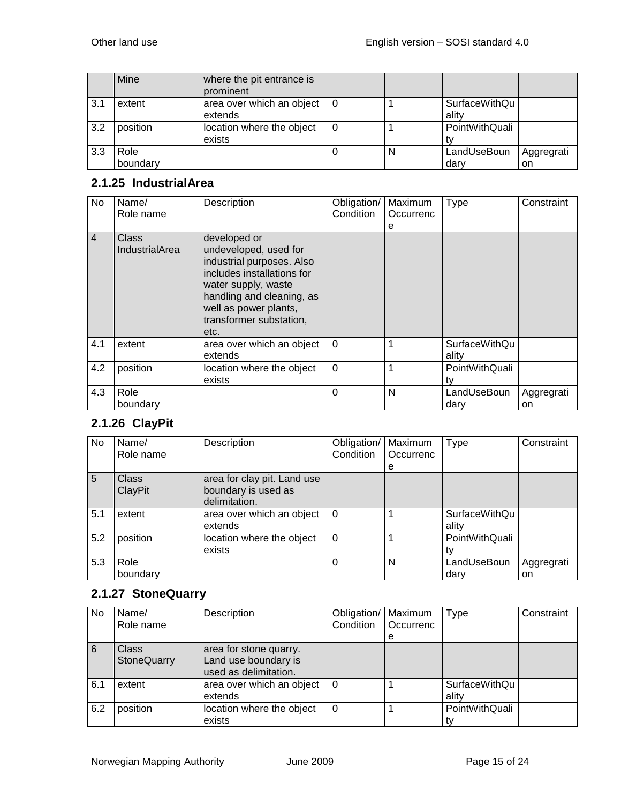|     | Mine             | where the pit entrance is<br>prominent |   |                        |                  |
|-----|------------------|----------------------------------------|---|------------------------|------------------|
| 3.1 | extent           | area over which an object<br>extends   |   | SurfaceWithQu<br>ality |                  |
| 3.2 | position         | location where the object<br>exists    |   | PointWithQuali         |                  |
| 3.3 | Role<br>boundary |                                        | N | LandUseBoun<br>darv    | Aggregrati<br>on |

## <span id="page-14-0"></span>**2.1.25 IndustrialArea**

| No             | Name/<br>Role name                    | Description                                                                                                                                                                                                      | Obligation/<br>Condition | Maximum<br>Occurrenc<br>е | <b>Type</b>                   | Constraint       |
|----------------|---------------------------------------|------------------------------------------------------------------------------------------------------------------------------------------------------------------------------------------------------------------|--------------------------|---------------------------|-------------------------------|------------------|
| $\overline{4}$ | <b>Class</b><br><b>IndustrialArea</b> | developed or<br>undeveloped, used for<br>industrial purposes. Also<br>includes installations for<br>water supply, waste<br>handling and cleaning, as<br>well as power plants,<br>transformer substation,<br>etc. |                          |                           |                               |                  |
| 4.1            | extent                                | area over which an object<br>extends                                                                                                                                                                             | $\Omega$                 |                           | <b>SurfaceWithQu</b><br>ality |                  |
| 4.2            | position                              | location where the object<br>exists                                                                                                                                                                              | $\mathbf 0$              |                           | PointWithQuali<br>tv          |                  |
| 4.3            | Role<br>boundarv                      |                                                                                                                                                                                                                  | 0                        | N                         | LandUseBoun<br>dary           | Aggregrati<br>on |

## <span id="page-14-1"></span>**2.1.26 ClayPit**

| No  | Name/        | Description                 | Obligation/ | Maximum   | <b>Type</b>    | Constraint |
|-----|--------------|-----------------------------|-------------|-----------|----------------|------------|
|     | Role name    |                             | Condition   | Occurrenc |                |            |
|     |              |                             |             | е         |                |            |
| 5   | <b>Class</b> | area for clay pit. Land use |             |           |                |            |
|     | ClayPit      | boundary is used as         |             |           |                |            |
|     |              | delimitation.               |             |           |                |            |
| 5.1 | extent       | area over which an object   | $\Omega$    |           | SurfaceWithQu  |            |
|     |              | extends                     |             |           | ality          |            |
| 5.2 | position     | location where the object   | $\Omega$    |           | PointWithQuali |            |
|     |              | exists                      |             |           |                |            |
| 5.3 | Role         |                             |             | N         | LandUseBoun    | Aggregrati |
|     | boundary     |                             |             |           | darv           | on         |

## <span id="page-14-2"></span>**2.1.27 StoneQuarry**

| No. | Name/<br>Role name          | Description                                                             | Obligation/<br>Condition | Maximum<br>Occurrenc<br>е | Type                          | Constraint |
|-----|-----------------------------|-------------------------------------------------------------------------|--------------------------|---------------------------|-------------------------------|------------|
| 6   | <b>Class</b><br>StoneQuarry | area for stone quarry.<br>Land use boundary is<br>used as delimitation. |                          |                           |                               |            |
| 6.1 | extent                      | area over which an object<br>extends                                    | $\Omega$                 |                           | <b>SurfaceWithQu</b><br>ality |            |
| 6.2 | position                    | location where the object<br>exists                                     | $\Omega$                 |                           | PointWithQuali                |            |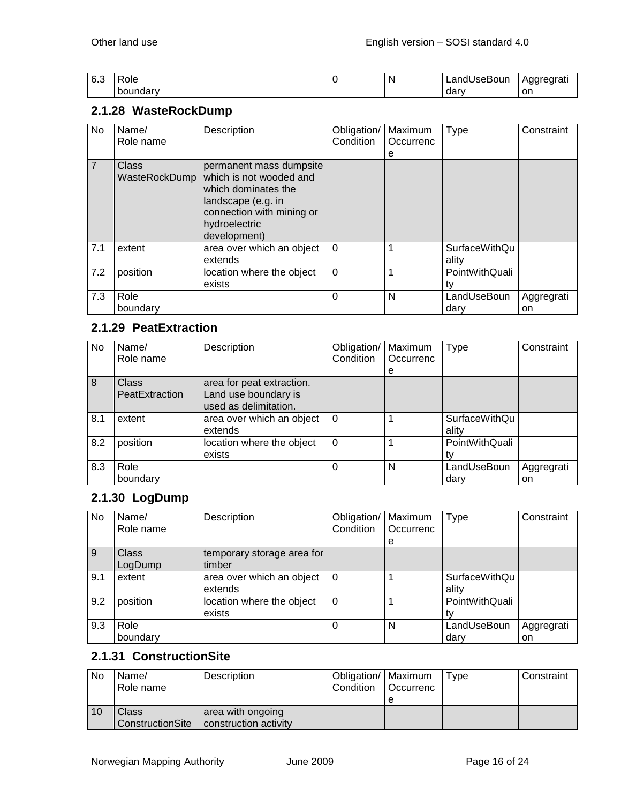| 6.3 | -<br>'ole<br>___ |  | N | .JseBour<br>∟andt∶<br>__ | Aggregrati<br>. . |
|-----|------------------|--|---|--------------------------|-------------------|
|     | boundary         |  |   | dar                      | .on               |

#### <span id="page-15-0"></span>**2.1.28 WasteRockDump**

| No             | Name/<br>Role name     | Description                                                                                                                                                   | Obligation/<br>Condition | Maximum<br>Occurrenc<br>е | <b>Type</b>            | Constraint       |
|----------------|------------------------|---------------------------------------------------------------------------------------------------------------------------------------------------------------|--------------------------|---------------------------|------------------------|------------------|
| $\overline{7}$ | Class<br>WasteRockDump | permanent mass dumpsite<br>which is not wooded and<br>which dominates the<br>landscape (e.g. in<br>connection with mining or<br>hydroelectric<br>development) |                          |                           |                        |                  |
| 7.1            | extent                 | area over which an object<br>extends                                                                                                                          | $\Omega$                 |                           | SurfaceWithQu<br>ality |                  |
| 7.2            | position               | location where the object<br>exists                                                                                                                           | $\Omega$                 |                           | PointWithQuali         |                  |
| 7.3            | Role<br>boundary       |                                                                                                                                                               | 0                        | N                         | LandUseBoun<br>dary    | Aggregrati<br>on |

## <span id="page-15-1"></span>**2.1.29 PeatExtraction**

| No  | Name/          | Description               | Obligation/ | Maximum   | <b>Type</b>          | Constraint |
|-----|----------------|---------------------------|-------------|-----------|----------------------|------------|
|     | Role name      |                           | Condition   | Occurrenc |                      |            |
|     |                |                           |             | е         |                      |            |
| 8   | <b>Class</b>   | area for peat extraction. |             |           |                      |            |
|     | PeatExtraction | Land use boundary is      |             |           |                      |            |
|     |                | used as delimitation.     |             |           |                      |            |
| 8.1 | extent         | area over which an object | $\Omega$    |           | <b>SurfaceWithQu</b> |            |
|     |                | extends                   |             |           | ality                |            |
| 8.2 | position       | location where the object | $\Omega$    |           | PointWithQuali       |            |
|     |                | exists                    |             |           | t٧                   |            |
| 8.3 | Role           |                           | 0           | N         | LandUseBoun          | Aggregrati |
|     | boundary       |                           |             |           | darv                 | on         |

## <span id="page-15-2"></span>**2.1.30 LogDump**

| <b>No</b> | Name/<br>Role name      | Description                          | Obligation/<br>Condition | Maximum<br>Occurrenc<br>e | Type                          | Constraint       |
|-----------|-------------------------|--------------------------------------|--------------------------|---------------------------|-------------------------------|------------------|
| 9         | <b>Class</b><br>LogDump | temporary storage area for<br>timber |                          |                           |                               |                  |
| 9.1       | extent                  | area over which an object<br>extends | $\Omega$                 |                           | <b>SurfaceWithQu</b><br>ality |                  |
| 9.2       | position                | location where the object<br>exists  | $\Omega$                 |                           | PointWithQuali                |                  |
| 9.3       | Role<br>boundary        |                                      | 0                        | N                         | LandUseBoun<br>darv           | Aggregrati<br>on |

# <span id="page-15-3"></span>**2.1.31 ConstructionSite**

| No | Name/<br>Role name        | Description                                | Obligation/   Maximum<br>Condition | <b>Occurrenc</b> | Tvpe | Constraint |
|----|---------------------------|--------------------------------------------|------------------------------------|------------------|------|------------|
| 10 | Class<br>ConstructionSite | area with ongoing<br>construction activity |                                    |                  |      |            |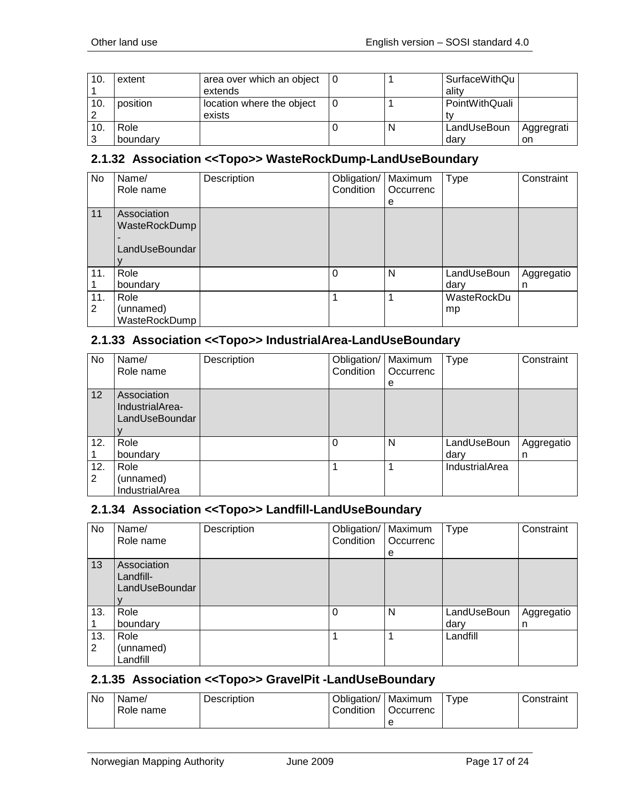| 10. | extent   | area over which an object |   | <b>SurfaceWithQu</b> |            |
|-----|----------|---------------------------|---|----------------------|------------|
|     |          | extends                   |   | ality                |            |
| 10. | position | location where the object |   | PointWithQuali       |            |
|     |          | exists                    |   |                      |            |
| 10. | Role     |                           | N | LandUseBoun          | Aggregrati |
| 3   | boundary |                           |   | darv                 | on         |

#### <span id="page-16-0"></span>**2.1.32 Association <<Topo>> WasteRockDump-LandUseBoundary**

| No  | Name/          | Description | Obligation/ | Maximum   | Type        | Constraint |
|-----|----------------|-------------|-------------|-----------|-------------|------------|
|     | Role name      |             | Condition   | Occurrenc |             |            |
|     |                |             |             | е         |             |            |
| 11  | Association    |             |             |           |             |            |
|     | WasteRockDump  |             |             |           |             |            |
|     |                |             |             |           |             |            |
|     | LandUseBoundar |             |             |           |             |            |
|     |                |             |             |           |             |            |
| 11. | Role           |             | $\Omega$    | N         | LandUseBoun | Aggregatio |
|     | boundary       |             |             |           | dary        | n          |
| 11. | Role           |             |             |           | WasteRockDu |            |
| 2   | (unnamed)      |             |             |           | mp          |            |
|     | WasteRockDump  |             |             |           |             |            |

#### <span id="page-16-1"></span>**2.1.33 Association <<Topo>> IndustrialArea-LandUseBoundary**

| No.      | Name/<br>Role name                               | Description | Obligation/<br>Condition | Maximum<br>Occurrenc<br>e | <b>Type</b>         | Constraint      |
|----------|--------------------------------------------------|-------------|--------------------------|---------------------------|---------------------|-----------------|
| 12       | Association<br>IndustrialArea-<br>LandUseBoundar |             |                          |                           |                     |                 |
| 12.      | Role<br>boundary                                 |             | $\Omega$                 | N                         | LandUseBoun<br>dary | Aggregatio<br>n |
| 12.<br>2 | Role<br>(unnamed)<br><b>IndustrialArea</b>       |             |                          | 1                         | IndustrialArea      |                 |

#### <span id="page-16-2"></span>**2.1.34 Association <<Topo>> Landfill-LandUseBoundary**

| No       | Name/<br>Role name                         | Description | Obligation/<br>Condition | Maximum<br>Occurrenc | <b>Type</b>         | Constraint      |
|----------|--------------------------------------------|-------------|--------------------------|----------------------|---------------------|-----------------|
|          |                                            |             |                          | e                    |                     |                 |
| 13       | Association<br>Landfill-<br>LandUseBoundar |             |                          |                      |                     |                 |
| 13.      | Role<br>boundary                           |             | 0                        | N                    | LandUseBoun<br>dary | Aggregatio<br>n |
| 13.<br>2 | Role<br>(unnamed)<br>Landfill              |             |                          |                      | Landfill            |                 |

## <span id="page-16-3"></span>**2.1.35 Association <<Topo>> GravelPit -LandUseBoundary**

| No | Name/<br>Role name | <b>Description</b> | Obligation/<br>Condition | '   Maximum<br>Occurrenc | vpe <sup>-</sup> | Constraint |
|----|--------------------|--------------------|--------------------------|--------------------------|------------------|------------|
|    |                    |                    |                          |                          |                  |            |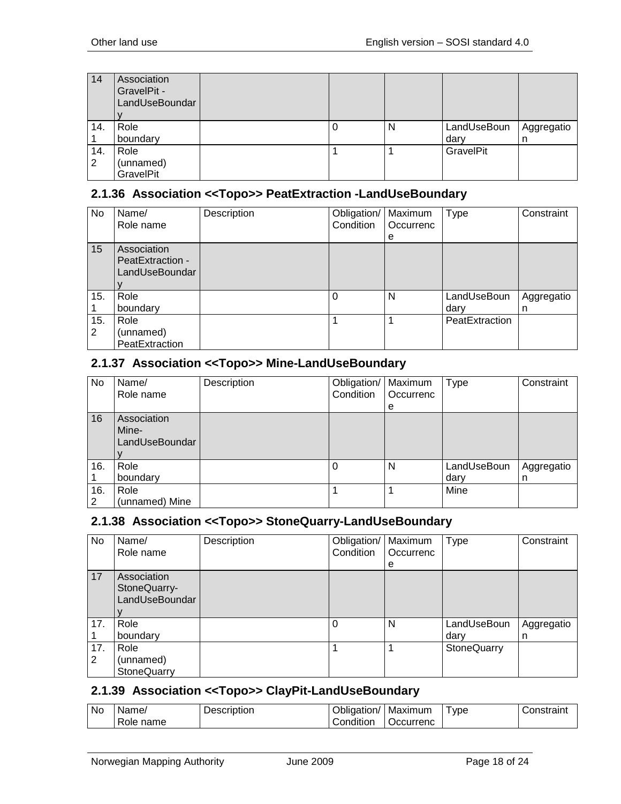| 14  | Association<br>GravelPit -<br>LandUseBoundar |  |   |             |            |
|-----|----------------------------------------------|--|---|-------------|------------|
| 14. | Role                                         |  | N | LandUseBoun | Aggregatio |
|     | boundary                                     |  |   | dary        | -11        |
| 14. | Role                                         |  |   | GravelPit   |            |
| 2   | (unnamed)                                    |  |   |             |            |
|     | GravelPit                                    |  |   |             |            |

#### <span id="page-17-0"></span>**2.1.36 Association <<Topo>> PeatExtraction -LandUseBoundary**

| <b>No</b> | Name/<br>Role name                                | Description | Obligation/   Maximum<br>Condition | Occurrenc<br>e | <b>Type</b>         | Constraint      |
|-----------|---------------------------------------------------|-------------|------------------------------------|----------------|---------------------|-----------------|
| 15        | Association<br>PeatExtraction -<br>LandUseBoundar |             |                                    |                |                     |                 |
| 15.       | Role<br>boundary                                  |             | $\Omega$                           | N              | LandUseBoun<br>darv | Aggregatio<br>n |
| 15.<br>2  | Role<br>(unnamed)<br>PeatExtraction               |             |                                    |                | PeatExtraction      |                 |

#### <span id="page-17-1"></span>**2.1.37 Association <<Topo>> Mine-LandUseBoundary**

| No       | Name/<br>Role name                     | Description | Obligation/   Maximum<br>Condition | Occurrenc<br>е | <b>Type</b>         | Constraint      |
|----------|----------------------------------------|-------------|------------------------------------|----------------|---------------------|-----------------|
| 16       | Association<br>Mine-<br>LandUseBoundar |             |                                    |                |                     |                 |
| 16.      | Role<br>boundary                       |             | $\Omega$                           | N              | LandUseBoun<br>dary | Aggregatio<br>n |
| 16.<br>2 | Role<br>(unnamed) Mine                 |             |                                    |                | Mine                |                 |

#### <span id="page-17-2"></span>**2.1.38 Association <<Topo>> StoneQuarry-LandUseBoundary**

| No       | Name/<br>Role name                            | Description | Obligation/<br>Condition | Maximum<br>Occurrenc<br>е | <b>Type</b>         | Constraint      |
|----------|-----------------------------------------------|-------------|--------------------------|---------------------------|---------------------|-----------------|
| 17       | Association<br>StoneQuarry-<br>LandUseBoundar |             |                          |                           |                     |                 |
| 17.      | Role<br>boundary                              |             | 0                        | N                         | LandUseBoun<br>dary | Aggregatio<br>n |
| 17.<br>2 | Role<br>(unnamed)<br>StoneQuarry              |             |                          |                           | <b>StoneQuarry</b>  |                 |

#### <span id="page-17-3"></span>**2.1.39 Association <<Topo>> ClayPit-LandUseBoundary**

| Nc | Name,             | Description | . .<br>Jblidation/     | Maximum   | <b>vpe</b> | ∶onstraınt |
|----|-------------------|-------------|------------------------|-----------|------------|------------|
|    | -<br>name<br>Role |             | $\cdots$<br>.onditionٽ | Jccurrenc |            |            |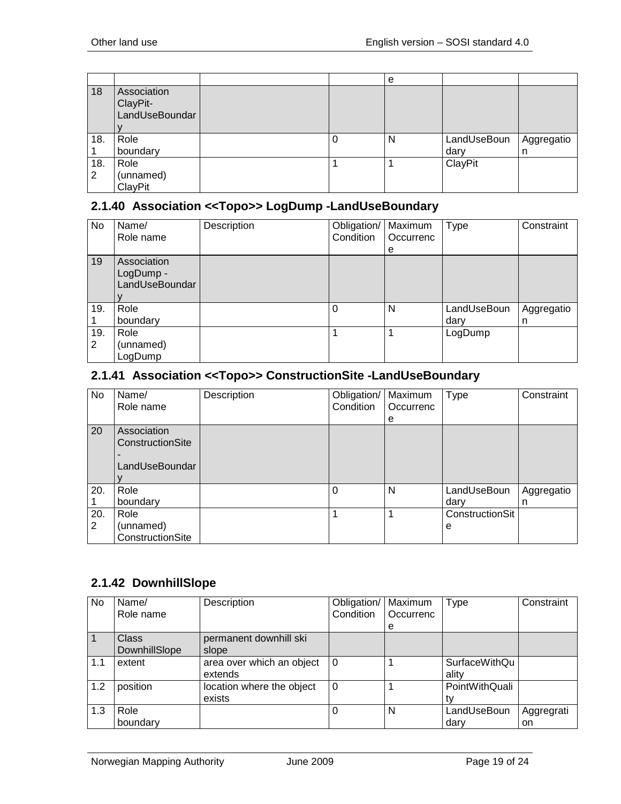|     |                                           |  | e |             |            |
|-----|-------------------------------------------|--|---|-------------|------------|
| 18  | Association<br>ClayPit-<br>LandUseBoundar |  |   |             |            |
| 18. | Role                                      |  | N | LandUseBoun | Aggregatio |
|     | boundary                                  |  |   | dary        | n          |
| 18. | Role                                      |  |   | ClayPit     |            |
| 2   | (unnamed)                                 |  |   |             |            |
|     | ClayPit                                   |  |   |             |            |

#### <span id="page-18-0"></span>**2.1.40 Association <<Topo>> LogDump -LandUseBoundary**

| No       | Name/<br>Role name                         | Description | Obligation/<br>Condition | Maximum<br>Occurrenc<br>е | <b>Type</b>         | Constraint      |
|----------|--------------------------------------------|-------------|--------------------------|---------------------------|---------------------|-----------------|
| 19       | Association<br>LogDump -<br>LandUseBoundar |             |                          |                           |                     |                 |
| 19.      | Role<br>boundary                           |             | 0                        | N                         | LandUseBoun<br>dary | Aggregatio<br>n |
| 19.<br>2 | Role<br>(unnamed)<br>LogDump               |             |                          |                           | LogDump             |                 |

## <span id="page-18-1"></span>**2.1.41 Association <<Topo>> ConstructionSite -LandUseBoundary**

| No  | Name/            | Description | Obligation/ | Maximum   | <b>Type</b>     | Constraint |
|-----|------------------|-------------|-------------|-----------|-----------------|------------|
|     | Role name        |             | Condition   | Occurrenc |                 |            |
|     |                  |             |             | е         |                 |            |
| 20  | Association      |             |             |           |                 |            |
|     | ConstructionSite |             |             |           |                 |            |
|     |                  |             |             |           |                 |            |
|     | LandUseBoundar   |             |             |           |                 |            |
|     |                  |             |             |           |                 |            |
| 20. | Role             |             | 0           | N         | LandUseBoun     | Aggregatio |
|     | boundary         |             |             |           | dary            | n          |
| 20. | Role             |             |             |           | ConstructionSit |            |
| 2   | (unnamed)        |             |             |           | е               |            |
|     | ConstructionSite |             |             |           |                 |            |

## <span id="page-18-2"></span>**2.1.42 DownhillSlope**

| No  | Name/         | Description               | Obligation/ | Maximum   | Type           | Constraint |
|-----|---------------|---------------------------|-------------|-----------|----------------|------------|
|     | Role name     |                           | Condition   | Occurrenc |                |            |
|     |               |                           |             | e         |                |            |
|     | <b>Class</b>  | permanent downhill ski    |             |           |                |            |
|     | DownhillSlope | slope                     |             |           |                |            |
| 1.1 | extent        | area over which an object | 0           |           | SurfaceWithQu  |            |
|     |               | extends                   |             |           | ality          |            |
| 1.2 | position      | location where the object | $\Omega$    |           | PointWithQuali |            |
|     |               | exists                    |             |           |                |            |
| 1.3 | Role          |                           |             | N         | LandUseBoun    | Aggregrati |
|     | boundary      |                           |             |           | dary           | on         |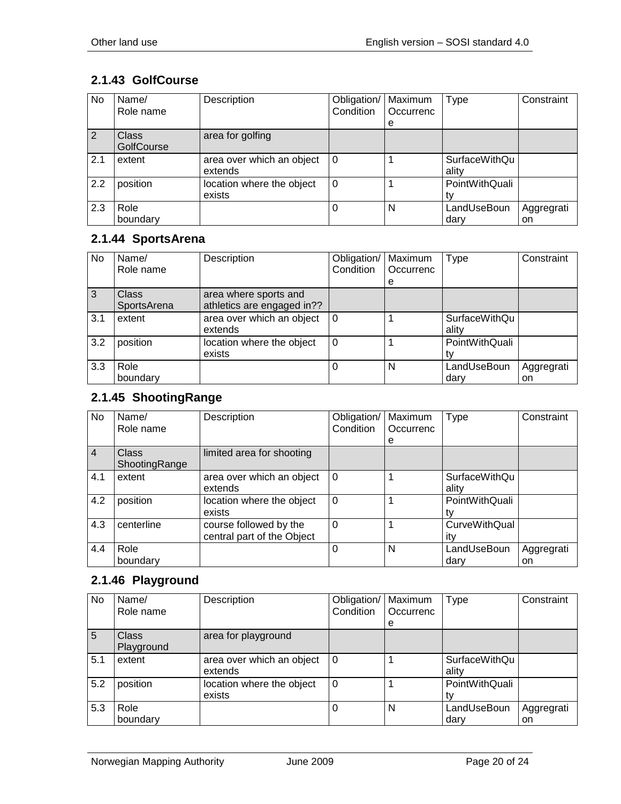## <span id="page-19-0"></span>**2.1.43 GolfCourse**

| No  | Name/<br>Role name         | Description                          | Obligation/<br>Condition | Maximum<br>Occurrenc<br>e | Type                   | Constraint       |
|-----|----------------------------|--------------------------------------|--------------------------|---------------------------|------------------------|------------------|
| 2   | <b>Class</b><br>GolfCourse | area for golfing                     |                          |                           |                        |                  |
| 2.1 | extent                     | area over which an object<br>extends | $\Omega$                 |                           | SurfaceWithQu<br>ality |                  |
| 2.2 | position                   | location where the object<br>exists  | 0                        |                           | PointWithQuali         |                  |
| 2.3 | Role<br>boundary           |                                      | O                        | N                         | LandUseBoun<br>dary    | Aggregrati<br>on |

#### <span id="page-19-1"></span>**2.1.44 SportsArena**

| No             | Name/<br>Role name   | Description                                         | Obligation/<br>Condition | Maximum<br>Occurrenc | <b>Type</b>                   | Constraint       |
|----------------|----------------------|-----------------------------------------------------|--------------------------|----------------------|-------------------------------|------------------|
|                |                      |                                                     |                          | е                    |                               |                  |
| $\overline{3}$ | Class<br>SportsArena | area where sports and<br>athletics are engaged in?? |                          |                      |                               |                  |
| 3.1            | extent               | area over which an object<br>extends                | $\Omega$                 |                      | <b>SurfaceWithQu</b><br>ality |                  |
| 3.2            | position             | location where the object<br>exists                 | $\Omega$                 |                      | PointWithQuali                |                  |
| 3.3            | Role<br>boundary     |                                                     | 0                        | N                    | LandUseBoun<br>dary           | Aggregrati<br>on |

## <span id="page-19-2"></span>**2.1.45 ShootingRange**

| No             | Name/         | Description                | Obligation/ | Maximum   | <b>Type</b>          | Constraint |
|----------------|---------------|----------------------------|-------------|-----------|----------------------|------------|
|                | Role name     |                            | Condition   | Occurrenc |                      |            |
|                |               |                            |             | e         |                      |            |
| $\overline{4}$ | <b>Class</b>  | limited area for shooting  |             |           |                      |            |
|                | ShootingRange |                            |             |           |                      |            |
| 4.1            | extent        | area over which an object  | $\Omega$    |           | <b>SurfaceWithQu</b> |            |
|                |               | extends                    |             |           | ality                |            |
| 4.2            | position      | location where the object  | $\Omega$    |           | PointWithQuali       |            |
|                |               | exists                     |             |           | tv                   |            |
| 4.3            | centerline    | course followed by the     | $\Omega$    |           | <b>CurveWithQual</b> |            |
|                |               | central part of the Object |             |           | itv                  |            |
| 4.4            | Role          |                            | $\Omega$    | N         | LandUseBoun          | Aggregrati |
|                | boundary      |                            |             |           | dary                 | on         |

## <span id="page-19-3"></span>**2.1.46 Playground**

| No  | Name/<br>Role name         | Description                          | Obligation/<br>Condition | Maximum<br>Occurrenc<br>e | Type                          | Constraint       |
|-----|----------------------------|--------------------------------------|--------------------------|---------------------------|-------------------------------|------------------|
| 5   | <b>Class</b><br>Playground | area for playground                  |                          |                           |                               |                  |
| 5.1 | extent                     | area over which an object<br>extends | 0                        |                           | <b>SurfaceWithQu</b><br>ality |                  |
| 5.2 | position                   | location where the object<br>exists  | $\Omega$                 |                           | PointWithQuali<br>t٧          |                  |
| 5.3 | Role<br>boundary           |                                      |                          | N                         | LandUseBoun<br>dary           | Aggregrati<br>on |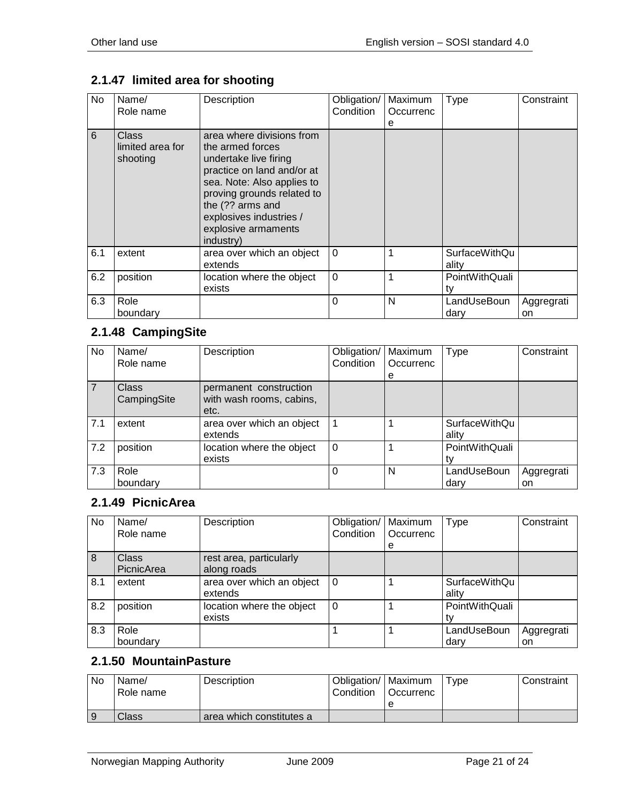# <span id="page-20-0"></span>**2.1.47 limited area for shooting**

| No  | Name/<br>Role name                    | Description                                                                                                                                                                                                                                         | Obligation/<br>Condition | Maximum<br>Occurrenc<br>е | <b>Type</b>            | Constraint       |
|-----|---------------------------------------|-----------------------------------------------------------------------------------------------------------------------------------------------------------------------------------------------------------------------------------------------------|--------------------------|---------------------------|------------------------|------------------|
| 6   | Class<br>limited area for<br>shooting | area where divisions from<br>the armed forces<br>undertake live firing<br>practice on land and/or at<br>sea. Note: Also applies to<br>proving grounds related to<br>the (?? arms and<br>explosives industries /<br>explosive armaments<br>industry) |                          |                           |                        |                  |
| 6.1 | extent                                | area over which an object<br>extends                                                                                                                                                                                                                | $\Omega$                 |                           | SurfaceWithQu<br>ality |                  |
| 6.2 | position                              | location where the object<br>exists                                                                                                                                                                                                                 | $\mathbf 0$              |                           | PointWithQuali<br>tv   |                  |
| 6.3 | Role<br>boundary                      |                                                                                                                                                                                                                                                     | 0                        | N                         | LandUseBoun<br>dary    | Aggregrati<br>on |

# <span id="page-20-1"></span>**2.1.48 CampingSite**

| No. | Name/<br>Role name          | Description                                                | Obligation/<br>Condition | Maximum<br>Occurrenc | Type                   | Constraint       |
|-----|-----------------------------|------------------------------------------------------------|--------------------------|----------------------|------------------------|------------------|
|     |                             |                                                            |                          | е                    |                        |                  |
|     | <b>Class</b><br>CampingSite | permanent construction<br>with wash rooms, cabins,<br>etc. |                          |                      |                        |                  |
| 7.1 | extent                      | area over which an object<br>extends                       |                          |                      | SurfaceWithQu<br>ality |                  |
| 7.2 | position                    | location where the object<br>exists                        | $\Omega$                 |                      | PointWithQuali         |                  |
| 7.3 | Role<br>boundary            |                                                            |                          | N                    | LandUseBoun<br>darv    | Aggregrati<br>on |

#### <span id="page-20-2"></span>**2.1.49 PicnicArea**

| No. | Name/<br>Role name         | Description                            | Obligation/<br>Condition | Maximum<br>Occurrenc<br>е | <b>Type</b>                   | Constraint       |
|-----|----------------------------|----------------------------------------|--------------------------|---------------------------|-------------------------------|------------------|
| 8   | <b>Class</b><br>PicnicArea | rest area, particularly<br>along roads |                          |                           |                               |                  |
| 8.1 | extent                     | area over which an object<br>extends   | $\Omega$                 |                           | <b>SurfaceWithQu</b><br>ality |                  |
| 8.2 | position                   | location where the object<br>exists    | 0                        |                           | PointWithQuali                |                  |
| 8.3 | Role<br>boundary           |                                        |                          |                           | LandUseBoun<br>dary           | Aggregrati<br>on |

#### <span id="page-20-3"></span>**2.1.50 MountainPasture**

| No | Name/<br>Role name | <b>Description</b>       | Obligation/   Maximum<br>Condition | Occurrenc | $^{\mathsf{T}}$ vpe | Constraint |
|----|--------------------|--------------------------|------------------------------------|-----------|---------------------|------------|
|    |                    |                          |                                    |           |                     |            |
|    | Class              | area which constitutes a |                                    |           |                     |            |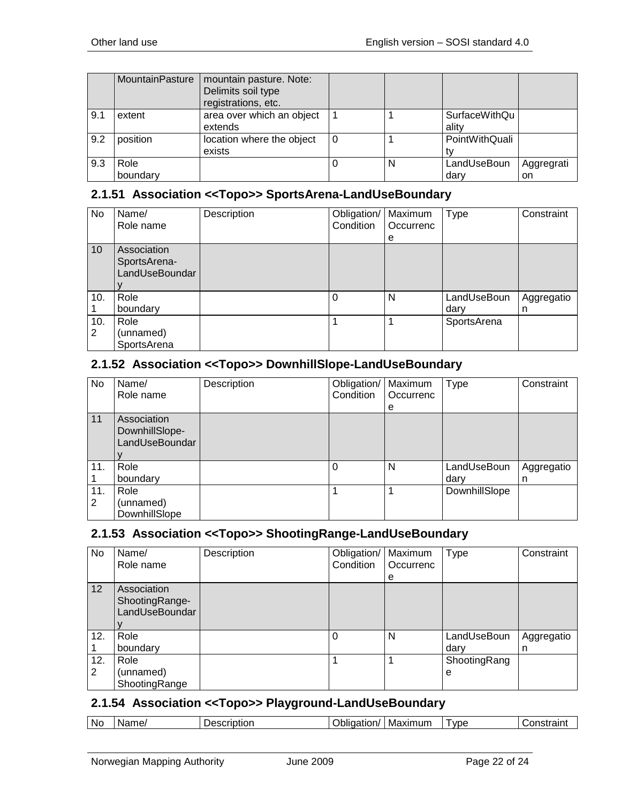|     | MountainPasture  | mountain pasture. Note:<br>Delimits soil type<br>registrations, etc. |     |   |                               |                  |
|-----|------------------|----------------------------------------------------------------------|-----|---|-------------------------------|------------------|
| 9.1 | extent           | area over which an object<br>extends                                 |     |   | <b>SurfaceWithQu</b><br>ality |                  |
| 9.2 | position         | location where the object<br>exists                                  | l 0 |   | PointWithQuali                |                  |
| 9.3 | Role<br>boundary |                                                                      |     | N | LandUseBoun<br>dary           | Aggregrati<br>on |

# <span id="page-21-0"></span>**2.1.51 Association <<Topo>> SportsArena-LandUseBoundary**

| No       | Name/<br>Role name                            | Description | Obligation/<br>Condition | Maximum<br>Occurrenc<br>е | Type                | Constraint      |
|----------|-----------------------------------------------|-------------|--------------------------|---------------------------|---------------------|-----------------|
| 10       | Association<br>SportsArena-<br>LandUseBoundar |             |                          |                           |                     |                 |
| 10.      | Role<br>boundary                              |             | $\Omega$                 | N                         | LandUseBoun<br>dary | Aggregatio<br>n |
| 10.<br>2 | Role<br>(unnamed)<br>SportsArena              |             |                          |                           | SportsArena         |                 |

## <span id="page-21-1"></span>**2.1.52 Association <<Topo>> DownhillSlope-LandUseBoundary**

| No  | Name/<br>Role name                              | Description | Obligation/<br>Condition | Maximum<br>Occurrenc | <b>Type</b>   | Constraint |
|-----|-------------------------------------------------|-------------|--------------------------|----------------------|---------------|------------|
|     |                                                 |             |                          | e                    |               |            |
| 11  | Association<br>DownhillSlope-<br>LandUseBoundar |             |                          |                      |               |            |
| 11. | Role                                            |             | $\Omega$                 | N                    | LandUseBoun   | Aggregatio |
|     | boundary                                        |             |                          |                      | dary          | n          |
| 11. | Role                                            |             |                          |                      | DownhillSlope |            |
| 2   | (unnamed)                                       |             |                          |                      |               |            |
|     | DownhillSlope                                   |             |                          |                      |               |            |

#### <span id="page-21-2"></span>**2.1.53 Association <<Topo>> ShootingRange-LandUseBoundary**

| No.      | Name/<br>Role name                              | Description | Obligation/<br>Condition | Maximum<br>Occurrenc<br>е | <b>Type</b>         | Constraint      |
|----------|-------------------------------------------------|-------------|--------------------------|---------------------------|---------------------|-----------------|
| 12       | Association<br>ShootingRange-<br>LandUseBoundar |             |                          |                           |                     |                 |
| 12.      | Role<br>boundary                                |             |                          | N                         | LandUseBoun<br>dary | Aggregatio<br>n |
| 12.<br>2 | Role<br>(unnamed)<br>ShootingRange              |             |                          |                           | ShootingRang<br>е   |                 |

#### <span id="page-21-3"></span>**2.1.54 Association <<Topo>> Playground-LandUseBoundary**

| N0. | - --<br>W.<br>ame. | $-$<br>itior<br>∍∆1 | )blic<br>-----<br>aation/ . | axımum<br>Max. | <b>VDE</b> | .<br>.or<br>аш<br>w |
|-----|--------------------|---------------------|-----------------------------|----------------|------------|---------------------|
|-----|--------------------|---------------------|-----------------------------|----------------|------------|---------------------|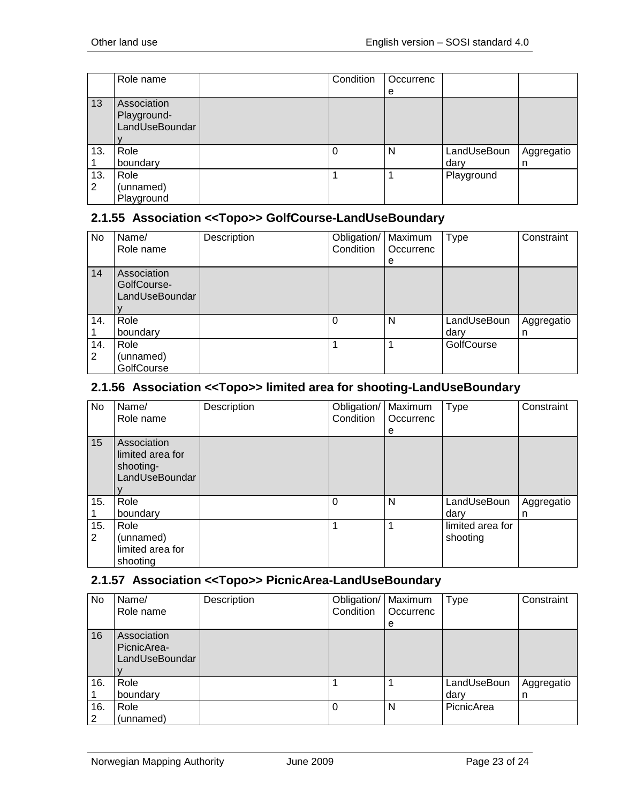|     | Role name      | Condition | Occurrenc |             |            |
|-----|----------------|-----------|-----------|-------------|------------|
|     |                |           | e         |             |            |
| 13  | Association    |           |           |             |            |
|     | Playground-    |           |           |             |            |
|     | LandUseBoundar |           |           |             |            |
|     |                |           |           |             |            |
| 13. | Role           | $\Omega$  | N         | LandUseBoun | Aggregatio |
|     | boundary       |           |           | dary        | n          |
| 13. | Role           |           |           | Playground  |            |
| 2   | (unnamed)      |           |           |             |            |
|     | Playground     |           |           |             |            |

#### <span id="page-22-0"></span>**2.1.55 Association <<Topo>> GolfCourse-LandUseBoundary**

| No       | Name/<br>Role name                           | Description | Obligation/<br>Condition | Maximum<br>Occurrenc<br>e | <b>Type</b>         | Constraint      |
|----------|----------------------------------------------|-------------|--------------------------|---------------------------|---------------------|-----------------|
| 14       | Association<br>GolfCourse-<br>LandUseBoundar |             |                          |                           |                     |                 |
| 14.      | Role<br>boundary                             |             |                          | N                         | LandUseBoun<br>dary | Aggregatio<br>n |
| 14.<br>2 | Role<br>(unnamed)<br>GolfCourse              |             |                          |                           | GolfCourse          |                 |

#### <span id="page-22-1"></span>**2.1.56 Association <<Topo>> limited area for shooting-LandUseBoundary**

| No       | Name/<br>Role name                                             | Description | Obligation/<br>Condition | Maximum<br>Occurrenc<br>е | <b>Type</b>                  | Constraint      |
|----------|----------------------------------------------------------------|-------------|--------------------------|---------------------------|------------------------------|-----------------|
| 15       | Association<br>limited area for<br>shooting-<br>LandUseBoundar |             |                          |                           |                              |                 |
| 15.      | Role<br>boundary                                               |             | $\Omega$                 | N                         | LandUseBoun<br>dary          | Aggregatio<br>n |
| 15.<br>2 | Role<br>(unnamed)<br>limited area for<br>shooting              |             |                          |                           | limited area for<br>shooting |                 |

## <span id="page-22-2"></span>**2.1.57 Association <<Topo>> PicnicArea-LandUseBoundary**

| No       | Name/<br>Role name                           | Description | Obligation/<br>Condition | Maximum<br>Occurrenc<br>e | <b>Type</b>         | Constraint      |
|----------|----------------------------------------------|-------------|--------------------------|---------------------------|---------------------|-----------------|
| 16       | Association<br>PicnicArea-<br>LandUseBoundar |             |                          |                           |                     |                 |
| 16.      | Role<br>boundary                             |             |                          |                           | LandUseBoun<br>dary | Aggregatio<br>n |
| 16.<br>2 | Role<br>(unnamed)                            |             |                          | N                         | PicnicArea          |                 |